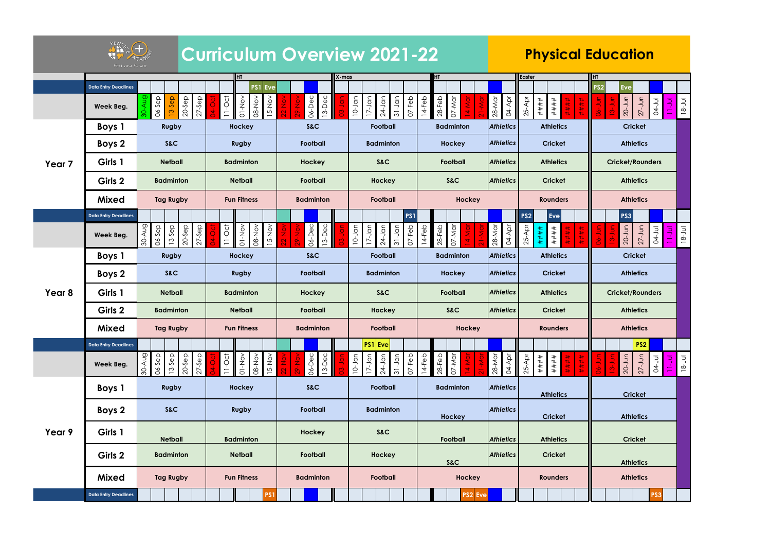|                   |                             |                                                      | <b>I</b> HT                                | X-mas                                                                                                                                                                            |                                                                    | HT                                                                       | <b>Easter</b>                                                                                                                                               | HT                                                                         |
|-------------------|-----------------------------|------------------------------------------------------|--------------------------------------------|----------------------------------------------------------------------------------------------------------------------------------------------------------------------------------|--------------------------------------------------------------------|--------------------------------------------------------------------------|-------------------------------------------------------------------------------------------------------------------------------------------------------------|----------------------------------------------------------------------------|
|                   | <b>Data Entry Deadlines</b> |                                                      | PS1<br>Eve                                 |                                                                                                                                                                                  |                                                                    |                                                                          |                                                                                                                                                             | PS <sub>2</sub><br><b>Eve</b>                                              |
|                   | Week Beg.                   | poy<br>20-Sep<br>06-Sep<br>$27 -$ Sep<br>$13-5ep$    | $11-Oct$<br>08-Nov<br>$15-NOV$<br>$O1-NOV$ | 06-Dec<br>$13$ -Dec                                                                                                                                                              | $10-$ Jan<br>$24 - Jan$<br>$31-Jan$<br>$17-$ Jan<br>$07 - Feb$     | $28-Feb$<br>07-Mar<br>28-Mar<br>$14-Feb$                                 | 04-Apr<br>$25 - Apr$<br>$\# \# \# \#$<br># # # #<br>$***$<br>$***$<br>##                                                                                    | $27 - Jun$<br>$20 - J$<br>04-Jul                                           |
|                   | Boys 1                      | Rugby                                                | <b>Hockey</b>                              | S&C                                                                                                                                                                              | Football                                                           | <b>Badminton</b>                                                         | <b>Athletics</b><br><b>Athletics</b>                                                                                                                        | <b>Cricket</b>                                                             |
|                   | Boys 2                      | S&C                                                  | <b>Rugby</b>                               | Football                                                                                                                                                                         | <b>Badminton</b>                                                   | <b>Hockey</b>                                                            | <b>Athletics</b><br><b>Cricket</b>                                                                                                                          | <b>Athletics</b>                                                           |
| Year <sub>7</sub> | Girls 1                     | <b>Netball</b>                                       | <b>Badminton</b>                           | Hockey                                                                                                                                                                           | S&C                                                                | Football                                                                 | <b>Athletics</b><br><b>Athletics</b>                                                                                                                        | <b>Cricket/Rounders</b>                                                    |
|                   | Girls 2                     | <b>Badminton</b>                                     | <b>Netball</b>                             | Football                                                                                                                                                                         | <b>Hockey</b>                                                      | S&C                                                                      | <b>Athletics</b><br><b>Cricket</b>                                                                                                                          | <b>Athletics</b>                                                           |
|                   | <b>Mixed</b>                | <b>Tag Rugby</b>                                     | <b>Fun Fitness</b>                         | <b>Badminton</b>                                                                                                                                                                 | <b>Football</b>                                                    | Hockey                                                                   | <b>Rounders</b>                                                                                                                                             | <b>Athletics</b>                                                           |
|                   | <b>Data Entry Deadlines</b> |                                                      |                                            |                                                                                                                                                                                  | <b>PS1</b>                                                         |                                                                          | PS <sub>2</sub><br>Eve                                                                                                                                      | <b>PS3</b>                                                                 |
|                   | Week Beg.                   | 30-Aug<br>06-Sep<br>$13-$ Sep<br>20-Sep<br>$27-$ Sep | $15-NOV$<br>$11-Oc†$<br>08-Nov<br>$O1-NOV$ | 06-Dec<br>$13$ -Dec                                                                                                                                                              | $10-$ Jan<br>$24$ -Jan<br>$31-Jan$<br>$07-Feb$<br>$17-Jan$         | $28-Feb$<br>07-Mar<br>28-Mar<br>$14-Feb$                                 | 04-Apr<br>$25 - Apr$<br># # # #<br>####<br>####<br>##                                                                                                       | $20 - J$ un<br>$27 - Jun$<br><b>D4-Jul</b>                                 |
|                   | Boys 1                      | Rugby                                                | Hockey                                     | <b>S&amp;C</b>                                                                                                                                                                   | <b>Football</b>                                                    | <b>Badminton</b>                                                         | <b>Athletics</b><br><b>Athletics</b>                                                                                                                        | <b>Cricket</b>                                                             |
|                   | Boys 2                      | S&C                                                  | Rugby                                      | Football                                                                                                                                                                         | <b>Badminton</b>                                                   | Hockey                                                                   | <b>Athletics</b><br><b>Cricket</b>                                                                                                                          | <b>Athletics</b>                                                           |
| Year 8            | Girls 1                     | <b>Netball</b>                                       | <b>Badminton</b>                           | Hockey                                                                                                                                                                           | S&C                                                                | Football                                                                 | <b>Athletics</b><br><b>Athletics</b>                                                                                                                        | <b>Cricket/Rounders</b>                                                    |
|                   | Girls 2                     | <b>Badminton</b>                                     | <b>Netball</b>                             | Football                                                                                                                                                                         | Hockey                                                             | S&C                                                                      | <b>Athletics</b><br><b>Cricket</b>                                                                                                                          | <b>Athletics</b>                                                           |
|                   | <b>Mixed</b>                | <b>Tag Rugby</b>                                     | <b>Fun Fitness</b>                         | <b>Badminton</b>                                                                                                                                                                 | <b>Football</b>                                                    | Hockey                                                                   | <b>Rounders</b>                                                                                                                                             | <b>Athletics</b>                                                           |
|                   | <b>Data Entry Deadlines</b> |                                                      |                                            |                                                                                                                                                                                  | PS1 Eve                                                            |                                                                          |                                                                                                                                                             | PS <sub>2</sub>                                                            |
|                   | Week Beg.                   | 30-Aug<br>06-Sep<br>13-Sep<br>20-Sep<br>27-Sep       | 11-Oct<br>01-Nov<br>08-Nov<br>15-Nov       | e<br>O<br>$\frac{1}{2}$<br>$\delta$<br>$\overline{5}$<br>$\delta$<br>$\begin{array}{c} 06-\overline{D}\\ 13-\overline{D}\\ \hline \end{array}$<br>$rac{1}{20}$<br>$\overline{S}$ | 10-Jan<br>17-Jan<br>31-Jan<br>07-Feb<br>14-Feb<br>28-Feb<br>07-Mar | $\overline{O}$<br>$\overline{\sigma}$<br>$\overline{4}$<br>$\frac{1}{2}$ | $\begin{array}{ c c }\n 28-\text{Mor} \\  \hline\n 04-\text{Apr} \\  \hline\n 25-\text{Apr}\n \end{array}$<br>####<br>####<br>### <mark>##</mark><br>#<br># | 20-Jun<br>$27 - J$ un<br>04-Jul<br>$\varsigma$<br>$\varsigma$<br>$\vec{p}$ |
|                   | Boys 1                      | <b>Rugby</b>                                         | Hockey                                     | S&C                                                                                                                                                                              | Football                                                           | <b>Badminton</b>                                                         | <b>Athletics</b><br><b>Athletics</b>                                                                                                                        | <b>Cricket</b>                                                             |
|                   | Boys 2                      | S&C                                                  | Rugby                                      | Football                                                                                                                                                                         | <b>Badminton</b>                                                   | Hockey                                                                   | <b>Athletics</b><br><b>Cricket</b>                                                                                                                          | <b>Athletics</b>                                                           |
| Year 9            | Girls 1                     | <b>Netball</b>                                       | <b>Badminton</b>                           | Hockey                                                                                                                                                                           | S&C                                                                | Football                                                                 | <b>Athletics</b><br><b>Athletics</b>                                                                                                                        | <b>Cricket</b>                                                             |
|                   | Girls 2                     | <b>Badminton</b>                                     | <b>Netball</b>                             | Football                                                                                                                                                                         | Hockey                                                             | S&C                                                                      | <b>Athletics</b><br><b>Cricket</b>                                                                                                                          | <b>Athletics</b>                                                           |
|                   | <b>Mixed</b>                | <b>Tag Rugby</b>                                     | <b>Fun Fitness</b>                         | <b>Badminton</b>                                                                                                                                                                 | Football                                                           | Hockey                                                                   | <b>Rounders</b>                                                                                                                                             | <b>Athletics</b>                                                           |
|                   | Data Entry Deadlines        |                                                      | PS <sub>1</sub>                            |                                                                                                                                                                                  |                                                                    | PS2 Eve <mark>l</mark>                                                   |                                                                                                                                                             | <b>PS3</b>                                                                 |





## **Curriculum Overview 2021-22 Physical Education**